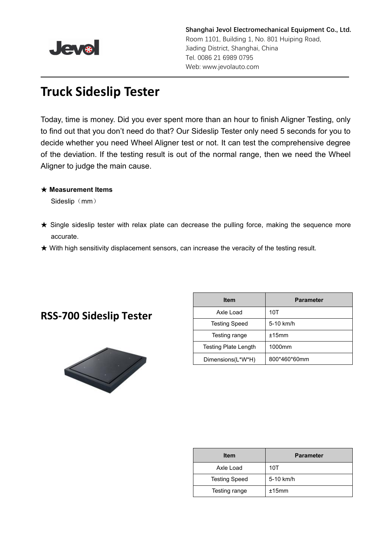

**Shanghai Jevol Electromechanical Equipment Co., Ltd.** Room 1101, Building 1, No. 801 Huiping Road, Jiading District, Shanghai, China Tel. 0086 21 6989 0795 Web: www.jevolauto.com

# **Truck Sideslip Tester**

Today, time is money. Did you ever spent more than an hour to finish Aligner Testing, only to find out that you don't need do that? Our Sideslip Tester only need 5 seconds for you to decide whether you need Wheel Aligner test or not. It can test the comprehensive degree of the deviation. If the testing result is out of the normal range, then we need the Wheel Aligner to judge the main cause.

#### ★ **Measurement Items**

Sideslip (mm)

- ★ Single sideslip tester with relax plate can decrease the pulling force, making the sequence more accurate.
- **★ With high sensitivity displacement sensors, can increase the veracity of the testing result.**

#### **RSS-700 Sideslip Tester**



| <b>Item</b>                 | <b>Parameter</b> |
|-----------------------------|------------------|
| Axle Load                   | 10T              |
| <b>Testing Speed</b>        | 5-10 km/h        |
| Testing range               | ±15mm            |
| <b>Testing Plate Length</b> | 1000mm           |
| Dimensions(L*W*H)           | 800*460*60mm     |

| <b>Item</b>          | <b>Parameter</b> |  |
|----------------------|------------------|--|
| Axle Load            | 10T              |  |
| <b>Testing Speed</b> | 5-10 km/h        |  |
| Testing range        | ±15mm            |  |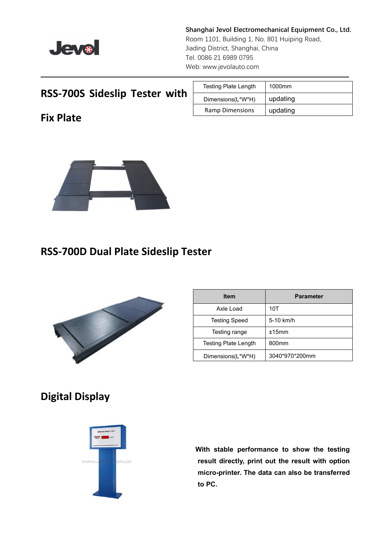

**Shanghai Jevol Electromechanical Equipment Co., Ltd.** Room 1101, Building 1, No. 801 Huiping Road, Jiading District, Shanghai, China Tel. 0086 21 6989 0795 Web: www.jevolauto.com

### **RSS-700S Sideslip Tester with**

**Fix Plate**

| <b>Testing Plate Length</b> | 1000mm   |
|-----------------------------|----------|
| Dimensions(L*W*H)           | updating |
| Ramp Dimensions             | updating |



## **RSS-700D Dual Plate Sideslip Tester**



| <b>Item</b>          | <b>Parameter</b>  |
|----------------------|-------------------|
| Axle Load            | 10T               |
| <b>Testing Speed</b> | 5-10 km/h         |
| Testing range        | ±15mm             |
| Testing Plate Length | 800 <sub>mm</sub> |
| Dimensions(L*W*H)    | 3040*970*200mm    |

# **Digital Display**



**With stable performance to show the testing result directly, print out the result with option micro-printer. The data can also be transferred to PC.**